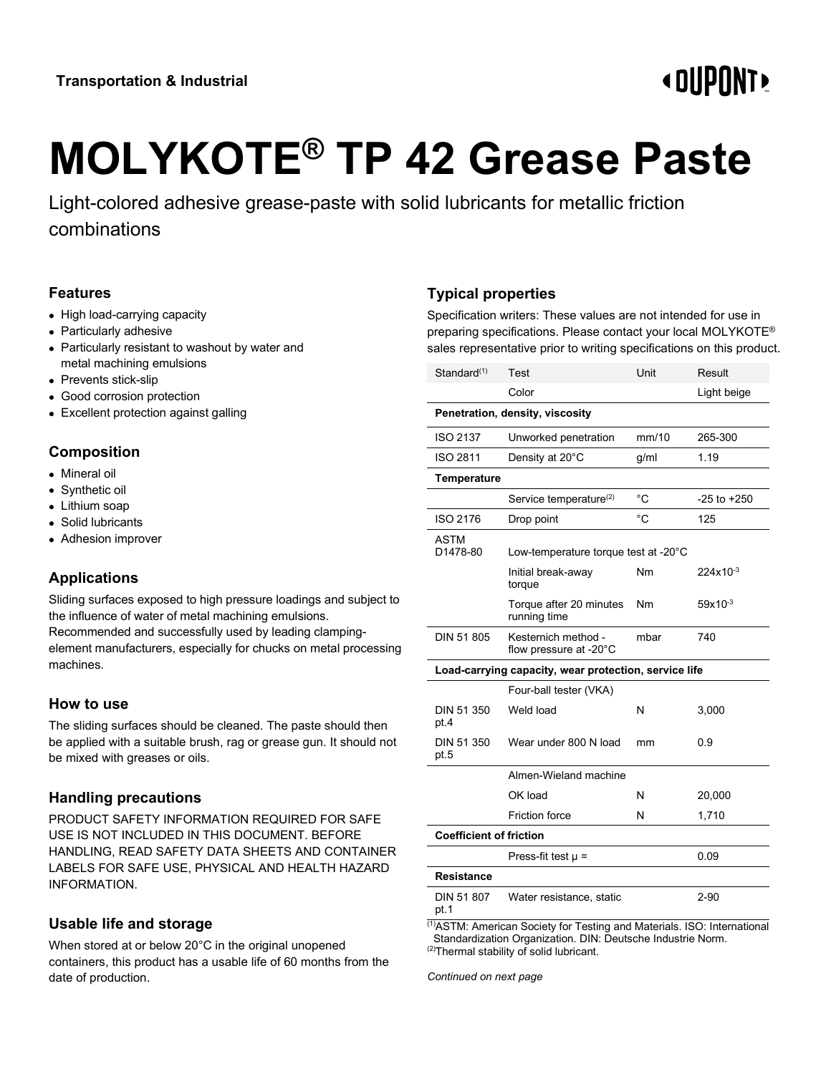## **«OUPONT»**

# **MOLYKOTE® TP 42 Grease Paste**

Light-colored adhesive grease-paste with solid lubricants for metallic friction combinations

#### **Features**

- High load-carrying capacity
- Particularly adhesive
- Particularly resistant to washout by water and metal machining emulsions
- Prevents stick-slip
- Good corrosion protection
- Excellent protection against galling

#### **Composition**

- Mineral oil
- Synthetic oil
- Lithium soap
- Solid lubricants
- Adhesion improver

#### **Applications**

Sliding surfaces exposed to high pressure loadings and subject to the influence of water of metal machining emulsions.

Recommended and successfully used by leading clampingelement manufacturers, especially for chucks on metal processing machines.

#### **How to use**

The sliding surfaces should be cleaned. The paste should then be applied with a suitable brush, rag or grease gun. It should not be mixed with greases or oils.

#### **Handling precautions**

PRODUCT SAFETY INFORMATION REQUIRED FOR SAFE USE IS NOT INCLUDED IN THIS DOCUMENT. BEFORE HANDLING, READ SAFETY DATA SHEETS AND CONTAINER LABELS FOR SAFE USE, PHYSICAL AND HEALTH HAZARD INFORMATION.

#### **Usable life and storage**

When stored at or below 20°C in the original unopened containers, this product has a usable life of 60 months from the date of production.

### **Typical properties**

Specification writers: These values are not intended for use in preparing specifications. Please contact your local MOLYKOTE® sales representative prior to writing specifications on this product.

| Standard <sup>(1)</sup>                               | Test                                          | Unit        | Result          |  |
|-------------------------------------------------------|-----------------------------------------------|-------------|-----------------|--|
|                                                       | Color                                         |             | Light beige     |  |
|                                                       | Penetration, density, viscosity               |             |                 |  |
| <b>ISO 2137</b>                                       | Unworked penetration                          | mm/10       | 265-300         |  |
| ISO 2811                                              | Density at 20°C                               | g/ml        | 1.19            |  |
| Temperature                                           |                                               |             |                 |  |
|                                                       | Service temperature <sup>(2)</sup>            | $^{\circ}C$ | $-25$ to $+250$ |  |
| ISO 2176                                              | Drop point                                    | °C          | 125             |  |
| ASTM<br>D1478-80                                      | Low-temperature torque test at -20°C          |             |                 |  |
|                                                       | Initial break-away<br>torque                  | Nm          | 224x10-3        |  |
|                                                       | Torque after 20 minutes<br>running time       | Nm          | $59x10^{-3}$    |  |
| DIN 51 805                                            | Kesternich method -<br>flow pressure at -20°C | mbar        | 740             |  |
| Load-carrying capacity, wear protection, service life |                                               |             |                 |  |
|                                                       | Four-ball tester (VKA)                        |             |                 |  |
| DIN 51 350<br>pt.4                                    | Weld load                                     | N           | 3,000           |  |
| DIN 51 350<br>pt.5                                    | Wear under 800 N load                         | mm          | 0.9             |  |
|                                                       | Almen-Wieland machine                         |             |                 |  |
|                                                       | OK load                                       | N           | 20,000          |  |
|                                                       | Friction force                                | N           | 1,710           |  |
| <b>Coefficient of friction</b>                        |                                               |             |                 |  |
|                                                       | Press-fit test $\mu$ =                        |             | 0.09            |  |
| Resistance                                            |                                               |             |                 |  |
| DIN 51 807<br>pt.1                                    | Water resistance, static                      |             | $2 - 90$        |  |

(1)ASTM: American Society for Testing and Materials. ISO: International Standardization Organization. DIN: Deutsche Industrie Norm.  $(2)$ Thermal stability of solid lubricant.

*Continued on next page*